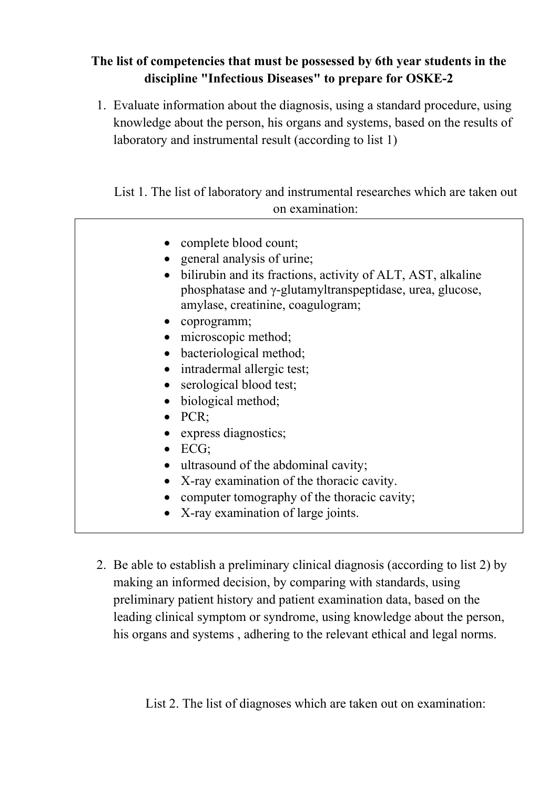## **The list of competencies that must be possessed by 6th year students in the discipline "Infectious Diseases" to prepare for OSKЕ-2**

1. Evaluate information about the diagnosis, using a standard procedure, using knowledge about the person, his organs and systems, based on the results of laboratory and instrumental result (according to list 1)

List 1. The list of laboratory and instrumental researches which are taken out on examination:

| • complete blood count;                                                                                                                                      |
|--------------------------------------------------------------------------------------------------------------------------------------------------------------|
| • general analysis of urine;                                                                                                                                 |
| bilirubin and its fractions, activity of ALT, AST, alkaline<br>phosphatase and γ-glutamyltranspeptidase, urea, glucose,<br>amylase, creatinine, coagulogram; |
| • coprogramm;                                                                                                                                                |
| • microscopic method;                                                                                                                                        |
| • bacteriological method;                                                                                                                                    |
| • intradermal allergic test;                                                                                                                                 |
| • serological blood test;                                                                                                                                    |
| • biological method;                                                                                                                                         |
| $\bullet$ PCR;                                                                                                                                               |
| • express diagnostics;                                                                                                                                       |
| $\bullet$ ECG;                                                                                                                                               |
| • ultrasound of the abdominal cavity;                                                                                                                        |
| • X-ray examination of the thoracic cavity.                                                                                                                  |
| computer tomography of the thoracic cavity;                                                                                                                  |
| X-ray examination of large joints.                                                                                                                           |

2. Be able to establish a preliminary clinical diagnosis (according to list 2) by making an informed decision, by comparing with standards, using preliminary patient history and patient examination data, based on the leading clinical symptom or syndrome, using knowledge about the person, his organs and systems , adhering to the relevant ethical and legal norms.

List 2. The list of diagnoses which are taken out on examination: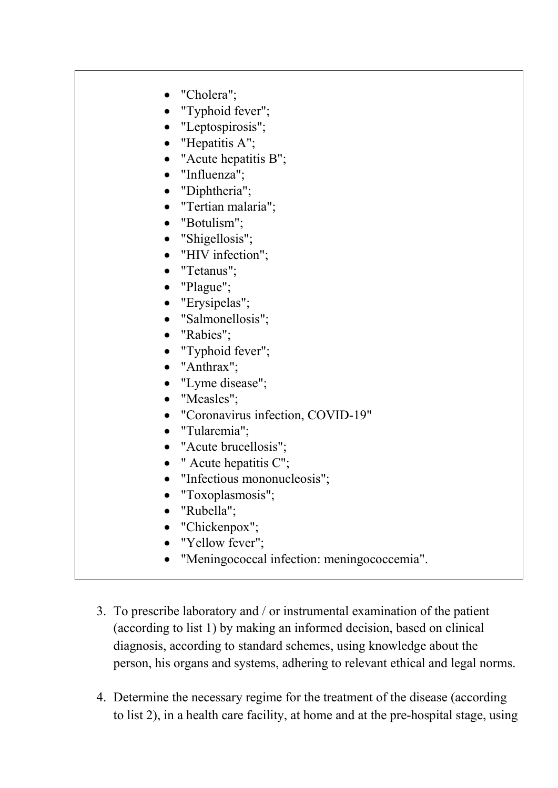- "Cholera":
- "Typhoid fever";
- "Leptospirosis";
- "Hepatitis A";
- "Acute hepatitis B";
- "Influenza";
- "Diphtheria";
- "Tertian malaria";
- "Botulism";
- "Shigellosis";
- "HIV infection":
- "Tetanus";
- "Plague";
- "Erysipelas";
- "Salmonellosis";
- "Rabies":
- "Typhoid fever";
- "Anthrax";
- "Lyme disease";
- "Measles";
- "Coronavirus infection, COVID-19"
- "Tularemia";
- "Acute brucellosis";
- " Acute hepatitis C";
- "Infectious mononucleosis";
- "Toxoplasmosis";
- "Rubella";
- "Chickenpox";
- "Yellow fever";
- "Meningococcal infection: meningococcemia".
- 3. To prescribe laboratory and / or instrumental examination of the patient (according to list 1) by making an informed decision, based on clinical diagnosis, according to standard schemes, using knowledge about the person, his organs and systems, adhering to relevant ethical and legal norms.
- 4. Determine the necessary regime for the treatment of the disease (according to list 2), in a health care facility, at home and at the pre-hospital stage, using